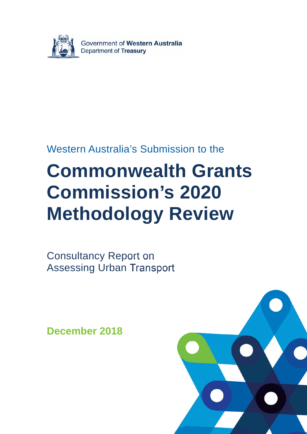

## Western Australia's Submission to the

# **Commonwealth Grants Commission's 2020 Methodology Review**

Consultancy Report on Assessing Urban Transport

**December 2018** 

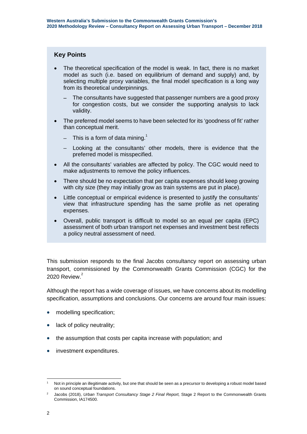#### **Key Points**

- The theoretical specification of the model is weak. In fact, there is no market model as such (i.e. based on equilibrium of demand and supply) and, by selecting multiple proxy variables, the final model specification is a long way from its theoretical underpinnings.
	- The consultants have suggested that passenger numbers are a good proxy for congestion costs, but we consider the supporting analysis to lack validity.
- The preferred model seems to have been selected for its 'goodness of fit' rather than conceptual merit.
	- $-$  This is a form of data mining.<sup>1</sup>
	- Looking at the consultants' other models, there is evidence that the preferred model is misspecified.
- All the consultants' variables are affected by policy. The CGC would need to make adjustments to remove the policy influences.
- There should be no expectation that per capita expenses should keep growing with city size (they may initially grow as train systems are put in place).
- Little conceptual or empirical evidence is presented to justify the consultants' view that infrastructure spending has the same profile as net operating expenses.
- Overall, public transport is difficult to model so an equal per capita (EPC) assessment of both urban transport net expenses and investment best reflects a policy neutral assessment of need.

This submission responds to the final Jacobs consultancy report on assessing urban transport, commissioned by the Commonwealth Grants Commission (CGC) for the 2020 Review. $2$ 

Although the report has a wide coverage of issues, we have concerns about its modelling specification, assumptions and conclusions. Our concerns are around four main issues:

- modelling specification;
- lack of policy neutrality;
- the assumption that costs per capita increase with population; and
- investment expenditures.

<sup>-</sup>1 Not in principle an illegitimate activity, but one that should be seen as a precursor to developing a robust model based on sound conceptual foundations.

<sup>2</sup> Jacobs (2018), *Urban Transport Consultancy Stage 2 Final Report,* Stage 2 Report to the Commonwealth Grants Commission, IA174500.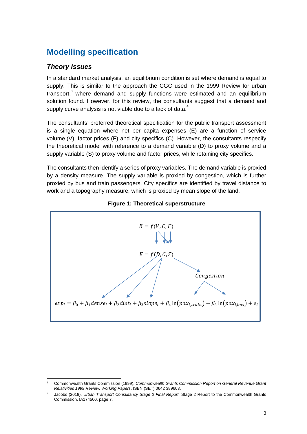## **Modelling specification**

### *Theory issues*

In a standard market analysis, an equilibrium condition is set where demand is equal to supply. This is similar to the approach the CGC used in the 1999 Review for urban transport,<sup>3</sup> where demand and supply functions were estimated and an equilibrium solution found. However, for this review, the consultants suggest that a demand and supply curve analysis is not viable due to a lack of data. $4$ 

The consultants' preferred theoretical specification for the public transport assessment is a single equation where net per capita expenses (E) are a function of service volume (V), factor prices (F) and city specifics (C). However, the consultants respecify the theoretical model with reference to a demand variable (D) to proxy volume and a supply variable (S) to proxy volume and factor prices, while retaining city specifics.

The consultants then identify a series of proxy variables. The demand variable is proxied by a density measure. The supply variable is proxied by congestion, which is further proxied by bus and train passengers. City specifics are identified by travel distance to work and a topography measure, which is proxied by mean slope of the land.





 $\frac{1}{3}$  Commonwealth Grants Commission (1999), *Commonwealth Grants Commission Report on General Revenue Grant Relativities 1999 Review. Working Papers*, ISBN (SET) 0642 389603.

<sup>4</sup> Jacobs (2018), *Urban Transport Consultancy Stage 2 Final Report,* Stage 2 Report to the Commonwealth Grants Commission, IA174500, page 7.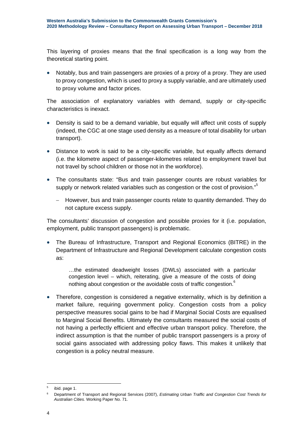This layering of proxies means that the final specification is a long way from the theoretical starting point.

• Notably, bus and train passengers are proxies of a proxy of a proxy. They are used to proxy congestion, which is used to proxy a supply variable, and are ultimately used to proxy volume and factor prices.

The association of explanatory variables with demand, supply or city-specific characteristics is inexact.

- Density is said to be a demand variable, but equally will affect unit costs of supply (indeed, the CGC at one stage used density as a measure of total disability for urban transport).
- Distance to work is said to be a city-specific variable, but equally affects demand (i.e. the kilometre aspect of passenger-kilometres related to employment travel but not travel by school children or those not in the workforce).
- The consultants state: "Bus and train passenger counts are robust variables for supply or network related variables such as congestion or the cost of provision."
	- However, bus and train passenger counts relate to quantity demanded. They do not capture excess supply.

The consultants' discussion of congestion and possible proxies for it (i.e. population, employment, public transport passengers) is problematic.

 The Bureau of Infrastructure, Transport and Regional Economics (BITRE) in the Department of Infrastructure and Regional Development calculate congestion costs as:

…the estimated deadweight losses (DWLs) associated with a particular congestion level – which, reiterating, give a measure of the costs of doing nothing about congestion or the avoidable costs of traffic congestion.<sup>6</sup>

• Therefore, congestion is considered a negative externality, which is by definition a market failure, requiring government policy. Congestion costs from a policy perspective measures social gains to be had if Marginal Social Costs are equalised to Marginal Social Benefits. Ultimately the consultants measured the social costs of not having a perfectly efficient and effective urban transport policy. Therefore, the indirect assumption is that the number of public transport passengers is a proxy of social gains associated with addressing policy flaws. This makes it unlikely that congestion is a policy neutral measure.

<sup>-</sup><sup>5</sup> ibid. page 1.

<sup>6</sup> Department of Transport and Regional Services (2007), *Estimating Urban Traffic and Congestion Cost Trends for Australian Cities.* Working Paper No. 71.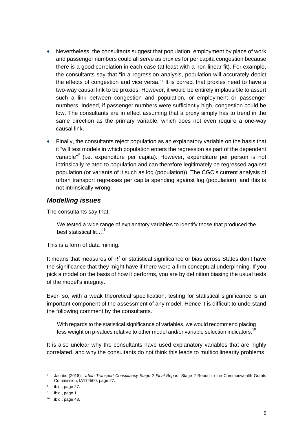- Nevertheless, the consultants suggest that population, employment by place of work and passenger numbers could all serve as proxies for per capita congestion because there is a good correlation in each case (at least with a non-linear fit). For example, the consultants say that "in a regression analysis, population will accurately depict the effects of congestion and vice versa."7 It is correct that proxies need to have a two-way causal link to be proxies. However, it would be entirely implausible to assert such a link between congestion and population, or employment or passenger numbers. Indeed, if passenger numbers were sufficiently high, congestion could be low. The consultants are in effect assuming that a proxy simply has to trend in the same direction as the primary variable, which does not even require a one-way causal link.
- Finally, the consultants reject population as an explanatory variable on the basis that it "will test models in which population enters the regression as part of the dependent variable"<sup>8</sup> (i.e. expenditure per capita). However, expenditure per person is not intrinsically related to population and can therefore legitimately be regressed against population (or variants of it such as log (population)). The CGC's current analysis of urban transport regresses per capita spending against log (population), and this is not intrinsically wrong.

#### *Modelling issues*

The consultants say that:

We tested a wide range of explanatory variables to identify those that produced the best statistical fit....<sup>9</sup>

This is a form of data mining.

It means that measures of  $R<sup>2</sup>$  or statistical significance or bias across States don't have the significance that they might have if there were a firm conceptual underpinning. If you pick a model on the basis of how it performs, you are by definition biasing the usual tests of the model's integrity.

Even so, with a weak theoretical specification, testing for statistical significance is an important component of the assessment of any model. Hence it is difficult to understand the following comment by the consultants.

With regards to the statistical significance of variables, we would recommend placing less weight on p-values relative to other model and/or variable selection indicators.<sup>10</sup>

It is also unclear why the consultants have used explanatory variables that are highly correlated, and why the consultants do not think this leads to multicollinearity problems.

<sup>-</sup>7 Jacobs (2018), *Urban Transport Consultancy Stage 2 Final Report,* Stage 2 Report to the Commonwealth Grants Commission, IA174500, page 27.

 $8$  ibid., page 27.

<sup>&</sup>lt;sup>9</sup> ibid., page 1.

 $10$  ibid., page 48.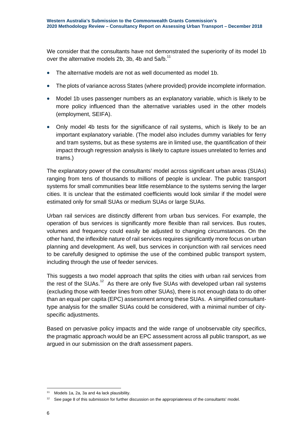We consider that the consultants have not demonstrated the superiority of its model 1b over the alternative models 2b, 3b, 4b and  $5a/b$ .<sup>11</sup>

- The alternative models are not as well documented as model 1b.
- The plots of variance across States (where provided) provide incomplete information.
- Model 1b uses passenger numbers as an explanatory variable, which is likely to be more policy influenced than the alternative variables used in the other models (employment, SEIFA).
- Only model 4b tests for the significance of rail systems, which is likely to be an important explanatory variable. (The model also includes dummy variables for ferry and tram systems, but as these systems are in limited use, the quantification of their impact through regression analysis is likely to capture issues unrelated to ferries and trams.)

The explanatory power of the consultants' model across significant urban areas (SUAs) ranging from tens of thousands to millions of people is unclear. The public transport systems for small communities bear little resemblance to the systems serving the larger cities. It is unclear that the estimated coefficients would look similar if the model were estimated only for small SUAs or medium SUAs or large SUAs.

Urban rail services are distinctly different from urban bus services. For example, the operation of bus services is significantly more flexible than rail services. Bus routes, volumes and frequency could easily be adjusted to changing circumstances. On the other hand, the inflexible nature of rail services requires significantly more focus on urban planning and development. As well, bus services in conjunction with rail services need to be carefully designed to optimise the use of the combined public transport system, including through the use of feeder services.

This suggests a two model approach that splits the cities with urban rail services from the rest of the SUAs.<sup>12</sup> As there are only five SUAs with developed urban rail systems (excluding those with feeder lines from other SUAs), there is not enough data to do other than an equal per capita (EPC) assessment among these SUAs. A simplified consultanttype analysis for the smaller SUAs could be considered, with a minimal number of cityspecific adjustments.

Based on pervasive policy impacts and the wide range of unobservable city specifics, the pragmatic approach would be an EPC assessment across all public transport, as we argued in our submission on the draft assessment papers.

-

<sup>&</sup>lt;sup>11</sup> Models 1a, 2a, 3a and 4a lack plausibility.

<sup>&</sup>lt;sup>12</sup> See page 8 of this submission for further discussion on the appropriateness of the consultants' model.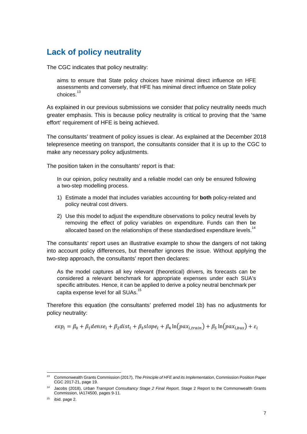## **Lack of policy neutrality**

The CGC indicates that policy neutrality:

aims to ensure that State policy choices have minimal direct influence on HFE assessments and conversely, that HFE has minimal direct influence on State policy choices<sup>13</sup>

As explained in our previous submissions we consider that policy neutrality needs much greater emphasis. This is because policy neutrality is critical to proving that the 'same effort' requirement of HFE is being achieved.

The consultants' treatment of policy issues is clear. As explained at the December 2018 telepresence meeting on transport, the consultants consider that it is up to the CGC to make any necessary policy adjustments.

The position taken in the consultants' report is that:

In our opinion, policy neutrality and a reliable model can only be ensured following a two-step modelling process.

- 1) Estimate a model that includes variables accounting for **both** policy-related and policy neutral cost drivers.
- 2) Use this model to adjust the expenditure observations to policy neutral levels by removing the effect of policy variables on expenditure. Funds can then be allocated based on the relationships of these standardised expenditure levels.<sup>14</sup>

The consultants' report uses an illustrative example to show the dangers of not taking into account policy differences, but thereafter ignores the issue. Without applying the two-step approach, the consultants' report then declares:

As the model captures all key relevant (theoretical) drivers, its forecasts can be considered a relevant benchmark for appropriate expenses under each SUA's specific attributes. Hence, it can be applied to derive a policy neutral benchmark per capita expense level for all SUAs.<sup>15</sup>

Therefore this equation (the consultants' preferred model 1b) has no adjustments for policy neutrality:

$$
exp_i = \beta_0 + \beta_1 dense_i + \beta_2 dist_i + \beta_3 slope_i + \beta_4 ln(pax_{i, train}) + \beta_5 ln(pax_{i, bus}) + \varepsilon_i
$$

<sup>-</sup>13 Commonwealth Grants Commission (2017), *The Principle of HFE and its Implementation*, Commission Position Paper CGC 2017-21, page 19.

<sup>14</sup> Jacobs (2018), *Urban Transport Consultancy Stage 2 Final Report,* Stage 2 Report to the Commonwealth Grants Commission, IA174500, pages 9-11.

 $15$  ibid. page 2.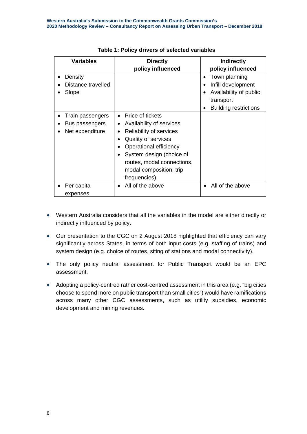| <b>Variables</b>                                      | <b>Directly</b>                                                                                                                                                                                                                            | <b>Indirectly</b>                                                                                                               |
|-------------------------------------------------------|--------------------------------------------------------------------------------------------------------------------------------------------------------------------------------------------------------------------------------------------|---------------------------------------------------------------------------------------------------------------------------------|
| Density<br>Distance travelled<br>Slope                | policy influenced                                                                                                                                                                                                                          | policy influenced<br>Town planning<br>Infill development<br>Availability of public<br>transport<br><b>Building restrictions</b> |
| Train passengers<br>Bus passengers<br>Net expenditure | Price of tickets<br>$\bullet$<br>Availability of services<br>Reliability of services<br>Quality of services<br>Operational efficiency<br>System design (choice of<br>routes, modal connections,<br>modal composition, trip<br>frequencies) |                                                                                                                                 |
| Per capita<br>expenses                                | All of the above                                                                                                                                                                                                                           | All of the above                                                                                                                |

#### **Table 1: Policy drivers of selected variables**

- Western Australia considers that all the variables in the model are either directly or indirectly influenced by policy.
- Our presentation to the CGC on 2 August 2018 highlighted that efficiency can vary significantly across States, in terms of both input costs (e.g. staffing of trains) and system design (e.g. choice of routes, siting of stations and modal connectivity).
- The only policy neutral assessment for Public Transport would be an EPC assessment.
- Adopting a policy-centred rather cost-centred assessment in this area (e.g. "big cities choose to spend more on public transport than small cities") would have ramifications across many other CGC assessments, such as utility subsidies, economic development and mining revenues.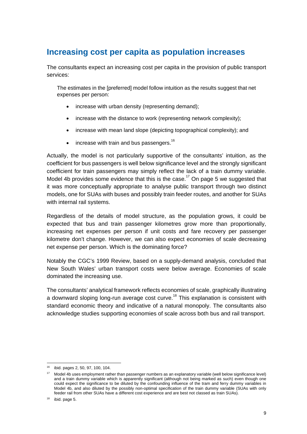## **Increasing cost per capita as population increases**

The consultants expect an increasing cost per capita in the provision of public transport services:

The estimates in the [preferred] model follow intuition as the results suggest that net expenses per person:

- increase with urban density (representing demand);
- increase with the distance to work (representing network complexity);
- increase with mean land slope (depicting topographical complexity); and
- $\bullet$  increase with train and bus passengers.<sup>16</sup>

Actually, the model is not particularly supportive of the consultants' intuition, as the coefficient for bus passengers is well below significance level and the strongly significant coefficient for train passengers may simply reflect the lack of a train dummy variable. Model 4b provides some evidence that this is the case.<sup>17</sup> On page 5 we suggested that it was more conceptually appropriate to analyse public transport through two distinct models, one for SUAs with buses and possibly train feeder routes, and another for SUAs with internal rail systems.

Regardless of the details of model structure, as the population grows, it could be expected that bus and train passenger kilometres grow more than proportionally, increasing net expenses per person if unit costs and fare recovery per passenger kilometre don't change. However, we can also expect economies of scale decreasing net expense per person. Which is the dominating force?

Notably the CGC's 1999 Review, based on a supply-demand analysis, concluded that New South Wales' urban transport costs were below average. Economies of scale dominated the increasing use.

The consultants' analytical framework reflects economies of scale, graphically illustrating a downward sloping long-run average cost curve.<sup>18</sup> This explanation is consistent with standard economic theory and indicative of a natural monopoly. The consultants also acknowledge studies supporting economies of scale across both bus and rail transport.

-

<sup>16</sup> ibid. pages 2, 50, 97, 100, 104.

<sup>&</sup>lt;sup>17</sup> Model 4b uses employment rather than passenger numbers as an explanatory variable (well below significance level) and a train dummy variable which is apparently significant (although not being marked as such) even though one could expect the significance to be diluted by the confounding influence of the tram and ferry dummy variables in Model 4b, and also diluted by the possibly non-optimal specification of the train dummy variable (SUAs with only feeder rail from other SUAs have a different cost experience and are best not classed as train SUAs).

<sup>18</sup> ibid. page 5.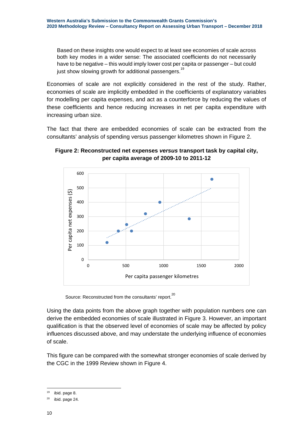Based on these insights one would expect to at least see economies of scale across both key modes in a wider sense: The associated coefficients do not necessarily have to be negative – this would imply lower cost per capita or passenger – but could just show slowing growth for additional passengers.<sup>19</sup>

Economies of scale are not explicitly considered in the rest of the study. Rather, economies of scale are implicitly embedded in the coefficients of explanatory variables for modelling per capita expenses, and act as a counterforce by reducing the values of these coefficients and hence reducing increases in net per capita expenditure with increasing urban size.

The fact that there are embedded economies of scale can be extracted from the consultants' analysis of spending versus passenger kilometres shown in Figure 2.



**Figure 2: Reconstructed net expenses** *versus* **transport task by capital city, per capita average of 2009-10 to 2011-12** 

Source: Reconstructed from the consultants' report.<sup>20</sup>

Using the data points from the above graph together with population numbers one can derive the embedded economies of scale illustrated in Figure 3. However, an important qualification is that the observed level of economies of scale may be affected by policy influences discussed above, and may understate the underlying influence of economies of scale.

This figure can be compared with the somewhat stronger economies of scale derived by the CGC in the 1999 Review shown in Figure 4.

<sup>19</sup> ibid. page 8.

 $20$  ibid. page 24.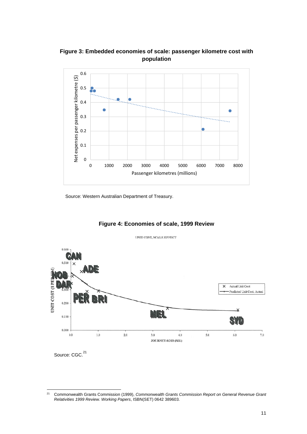

**Figure 3: Embedded economies of scale: passenger kilometre cost with population** 

Source: Western Australian Department of Treasury.



#### **Figure 4: Economies of scale, 1999 Review**

 $21$ 21 Commonwealth Grants Commission (1999), *Commonwealth Grants Commission Report on General Revenue Grant Relativities 1999 Review. Working Papers*, ISBN(SET) 0642 389603.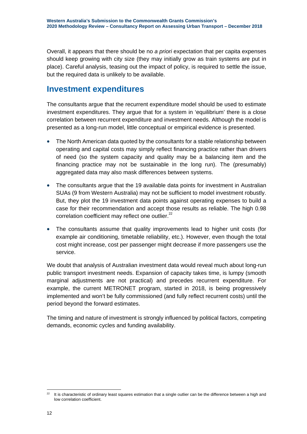Overall, it appears that there should be no *a priori* expectation that per capita expenses should keep growing with city size (they may initially grow as train systems are put in place). Careful analysis, teasing out the impact of policy, is required to settle the issue, but the required data is unlikely to be available.

## **Investment expenditures**

The consultants argue that the recurrent expenditure model should be used to estimate investment expenditures. They argue that for a system in 'equilibrium' there is a close correlation between recurrent expenditure and investment needs. Although the model is presented as a long-run model, little conceptual or empirical evidence is presented.

- The North American data quoted by the consultants for a stable relationship between operating and capital costs may simply reflect financing practice rather than drivers of need (so the system capacity and quality may be a balancing item and the financing practice may not be sustainable in the long run). The (presumably) aggregated data may also mask differences between systems.
- The consultants argue that the 19 available data points for investment in Australian SUAs (9 from Western Australia) may not be sufficient to model investment robustly. But, they plot the 19 investment data points against operating expenses to build a case for their recommendation and accept those results as reliable. The high 0.98 correlation coefficient may reflect one outlier. $22$
- The consultants assume that quality improvements lead to higher unit costs (for example air conditioning, timetable reliability, etc.). However, even though the total cost might increase, cost per passenger might decrease if more passengers use the service.

We doubt that analysis of Australian investment data would reveal much about long-run public transport investment needs. Expansion of capacity takes time, is lumpy (smooth marginal adjustments are not practical) and precedes recurrent expenditure. For example, the current METRONET program, started in 2018, is being progressively implemented and won't be fully commissioned (and fully reflect recurrent costs) until the period beyond the forward estimates.

The timing and nature of investment is strongly influenced by political factors, competing demands, economic cycles and funding availability.

<sup>22</sup> It is characteristic of ordinary least squares estimation that a single outlier can be the difference between a high and low correlation coefficient.